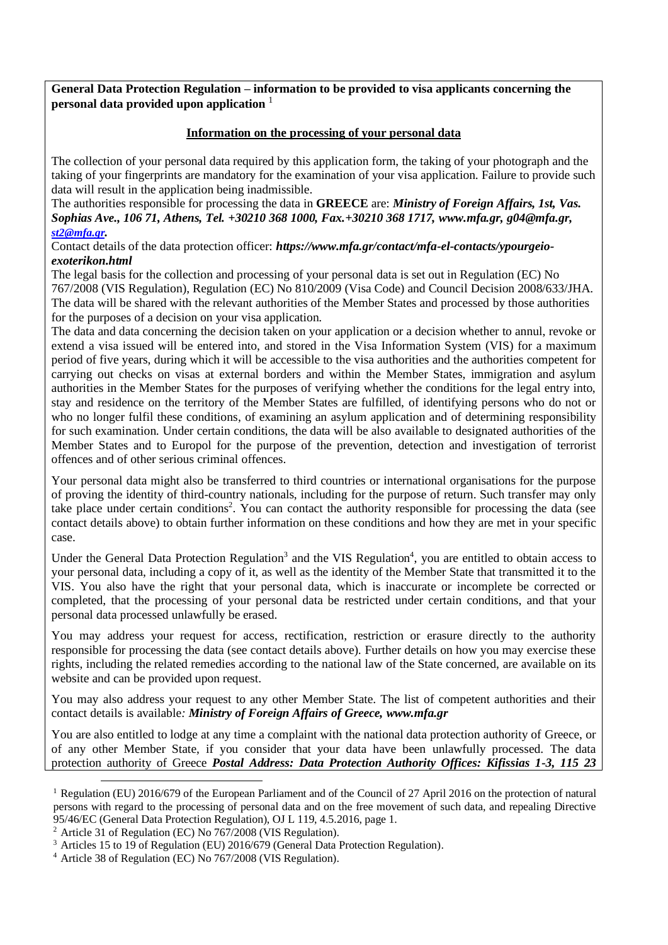**General Data Protection Regulation – information to be provided to visa applicants concerning the personal data provided upon application** <sup>1</sup>

## **Information on the processing of your personal data**

The collection of your personal data required by this application form, the taking of your photograph and the taking of your fingerprints are mandatory for the examination of your visa application. Failure to provide such data will result in the application being inadmissible.

The authorities responsible for processing the data in **GREECE** are: *Ministry of Foreign Affairs, 1st, Vas. Sophias Ave., 106 71, Athens, Tel. +30210 368 1000, Fax.+30210 368 1717, [www.mfa.gr,](http://www.mfa.gr/) [g04@mfa.gr,](mailto:g04@mfa.gr) [st2@mfa.gr](mailto:st2@mfa.gr).*

Contact details of the data protection officer: *[https://www.mfa.gr/contact/mfa-el-contacts/ypourgeio](https://www.mfa.gr/contact/mfa-el-contacts/ypourgeio-exoterikon.html)[exoterikon.html](https://www.mfa.gr/contact/mfa-el-contacts/ypourgeio-exoterikon.html)*

The legal basis for the collection and processing of your personal data is set out in Regulation (EC) No 767/2008 (VIS Regulation), Regulation (EC) No 810/2009 (Visa Code) and Council Decision 2008/633/JHA. The data will be shared with the relevant authorities of the Member States and processed by those authorities for the purposes of a decision on your visa application.

The data and data concerning the decision taken on your application or a decision whether to annul, revoke or extend a visa issued will be entered into, and stored in the Visa Information System (VIS) for a maximum period of five years, during which it will be accessible to the visa authorities and the authorities competent for carrying out checks on visas at external borders and within the Member States, immigration and asylum authorities in the Member States for the purposes of verifying whether the conditions for the legal entry into, stay and residence on the territory of the Member States are fulfilled, of identifying persons who do not or who no longer fulfil these conditions, of examining an asylum application and of determining responsibility for such examination. Under certain conditions, the data will be also available to designated authorities of the Member States and to Europol for the purpose of the prevention, detection and investigation of terrorist offences and of other serious criminal offences.

Your personal data might also be transferred to third countries or international organisations for the purpose of proving the identity of third-country nationals, including for the purpose of return. Such transfer may only take place under certain conditions<sup>2</sup>. You can contact the authority responsible for processing the data (see contact details above) to obtain further information on these conditions and how they are met in your specific case.

Under the General Data Protection Regulation<sup>3</sup> and the VIS Regulation<sup>4</sup>, you are entitled to obtain access to your personal data, including a copy of it, as well as the identity of the Member State that transmitted it to the VIS. You also have the right that your personal data, which is inaccurate or incomplete be corrected or completed, that the processing of your personal data be restricted under certain conditions, and that your personal data processed unlawfully be erased.

You may address your request for access, rectification, restriction or erasure directly to the authority responsible for processing the data (see contact details above). Further details on how you may exercise these rights, including the related remedies according to the national law of the State concerned, are available on its website and can be provided upon request.

You may also address your request to any other Member State. The list of competent authorities and their contact details is available*: Ministry of Foreign Affairs of Greece, www.mfa.gr*

You are also entitled to lodge at any time a complaint with the national data protection authority of Greece, or of any other Member State, if you consider that your data have been unlawfully processed. The data protection authority of Greece *Postal Address: Data Protection Authority Offices: Kifissias 1-3, 115 23* 

<sup>&</sup>lt;sup>1</sup> Regulation (EU) 2016/679 of the European Parliament and of the Council of 27 April 2016 on the protection of natural persons with regard to the processing of personal data and on the free movement of such data, and repealing Directive 95/46/EC (General Data Protection Regulation), OJ L 119, 4.5.2016, page 1.

<sup>2</sup> Article 31 of Regulation (EC) No 767/2008 (VIS Regulation).

<sup>&</sup>lt;sup>3</sup> Articles 15 to 19 of Regulation (EU) 2016/679 (General Data Protection Regulation).

<sup>4</sup> Article 38 of Regulation (EC) No 767/2008 (VIS Regulation).